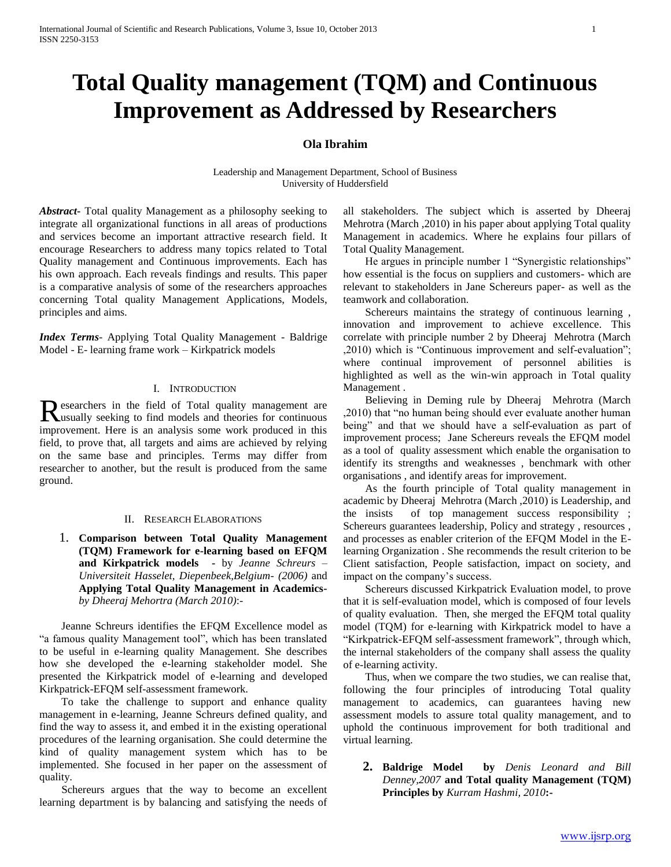# **Total Quality management (TQM) and Continuous Improvement as Addressed by Researchers**

# **Ola Ibrahim**

Leadership and Management Department, School of Business University of Huddersfield

*Abstract***-** Total quality Management as a philosophy seeking to integrate all organizational functions in all areas of productions and services become an important attractive research field. It encourage Researchers to address many topics related to Total Quality management and Continuous improvements. Each has his own approach. Each reveals findings and results. This paper is a comparative analysis of some of the researchers approaches concerning Total quality Management Applications, Models, principles and aims.

*Index Terms*- Applying Total Quality Management - Baldrige Model - E- learning frame work – Kirkpatrick models

## I. INTRODUCTION

esearchers in the field of Total quality management are Researchers in the field of Total quality management are usually seeking to find models and theories for continuous improvement. Here is an analysis some work produced in this field, to prove that, all targets and aims are achieved by relying on the same base and principles. Terms may differ from researcher to another, but the result is produced from the same ground.

#### II. RESEARCH ELABORATIONS

1. **Comparison between Total Quality Management (TQM) Framework for e-learning based on EFQM and Kirkpatrick models -** by *Jeanne Schreurs – Universiteit Hasselet, Diepenbeek,Belgium- (2006)* and **Applying Total Quality Management in Academics***by Dheeraj Mehortra (March 2010)*:-

 Jeanne Schreurs identifies the EFQM Excellence model as "a famous quality Management tool", which has been translated to be useful in e-learning quality Management. She describes how she developed the e-learning stakeholder model. She presented the Kirkpatrick model of e-learning and developed Kirkpatrick-EFQM self-assessment framework.

 To take the challenge to support and enhance quality management in e-learning, Jeanne Schreurs defined quality, and find the way to assess it, and embed it in the existing operational procedures of the learning organisation. She could determine the kind of quality management system which has to be implemented. She focused in her paper on the assessment of quality.

 Schereurs argues that the way to become an excellent learning department is by balancing and satisfying the needs of all stakeholders. The subject which is asserted by Dheeraj Mehrotra (March ,2010) in his paper about applying Total quality Management in academics. Where he explains four pillars of Total Quality Management.

 He argues in principle number 1 "Synergistic relationships" how essential is the focus on suppliers and customers- which are relevant to stakeholders in Jane Schereurs paper- as well as the teamwork and collaboration.

 Schereurs maintains the strategy of continuous learning , innovation and improvement to achieve excellence. This correlate with principle number 2 by Dheeraj Mehrotra (March ,2010) which is "Continuous improvement and self-evaluation"; where continual improvement of personnel abilities is highlighted as well as the win-win approach in Total quality Management .

 Believing in Deming rule by Dheeraj Mehrotra (March ,2010) that "no human being should ever evaluate another human being" and that we should have a self-evaluation as part of improvement process; Jane Schereurs reveals the EFQM model as a tool of quality assessment which enable the organisation to identify its strengths and weaknesses , benchmark with other organisations , and identify areas for improvement.

 As the fourth principle of Total quality management in academic by Dheeraj Mehrotra (March ,2010) is Leadership, and the insists of top management success responsibility ; Schereurs guarantees leadership, Policy and strategy , resources , and processes as enabler criterion of the EFQM Model in the Elearning Organization . She recommends the result criterion to be Client satisfaction, People satisfaction, impact on society, and impact on the company's success.

 Schereurs discussed Kirkpatrick Evaluation model, to prove that it is self-evaluation model, which is composed of four levels of quality evaluation. Then, she merged the EFQM total quality model (TQM) for e-learning with Kirkpatrick model to have a "Kirkpatrick-EFQM self-assessment framework", through which, the internal stakeholders of the company shall assess the quality of e-learning activity.

 Thus, when we compare the two studies, we can realise that, following the four principles of introducing Total quality management to academics, can guarantees having new assessment models to assure total quality management, and to uphold the continuous improvement for both traditional and virtual learning.

**2. Baldrige Model by** *Denis Leonard and Bill Denney,2007* **and Total quality Management (TQM) Principles by** *Kurram Hashmi, 2010***:-**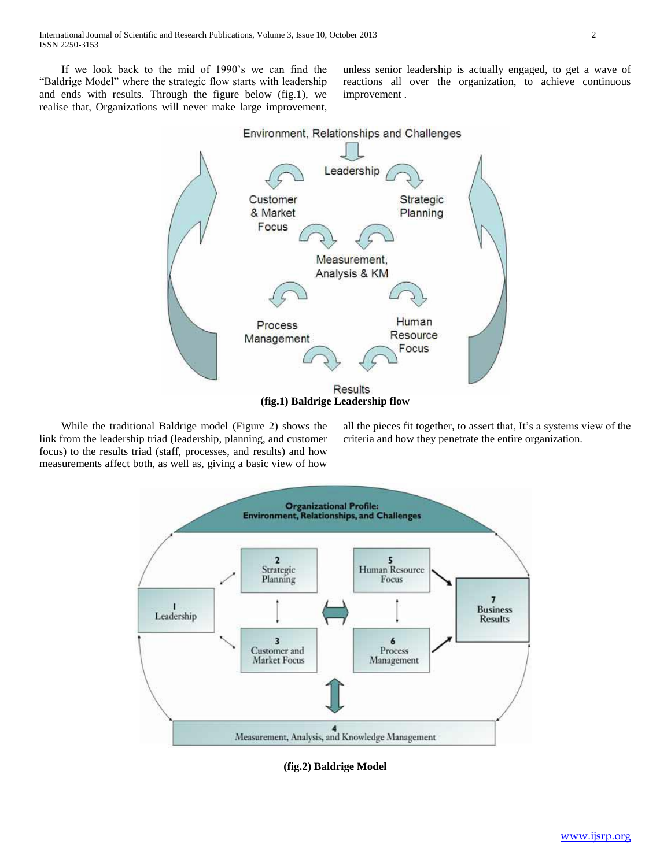If we look back to the mid of 1990's we can find the "Baldrige Model" where the strategic flow starts with leadership and ends with results. Through the figure below (fig.1), we realise that, Organizations will never make large improvement,

unless senior leadership is actually engaged, to get a wave of reactions all over the organization, to achieve continuous improvement .



 While the traditional Baldrige model (Figure 2) shows the link from the leadership triad (leadership, planning, and customer focus) to the results triad (staff, processes, and results) and how measurements affect both, as well as, giving a basic view of how

all the pieces fit together, to assert that, It's a systems view of the criteria and how they penetrate the entire organization.



**(fig.2) Baldrige Model**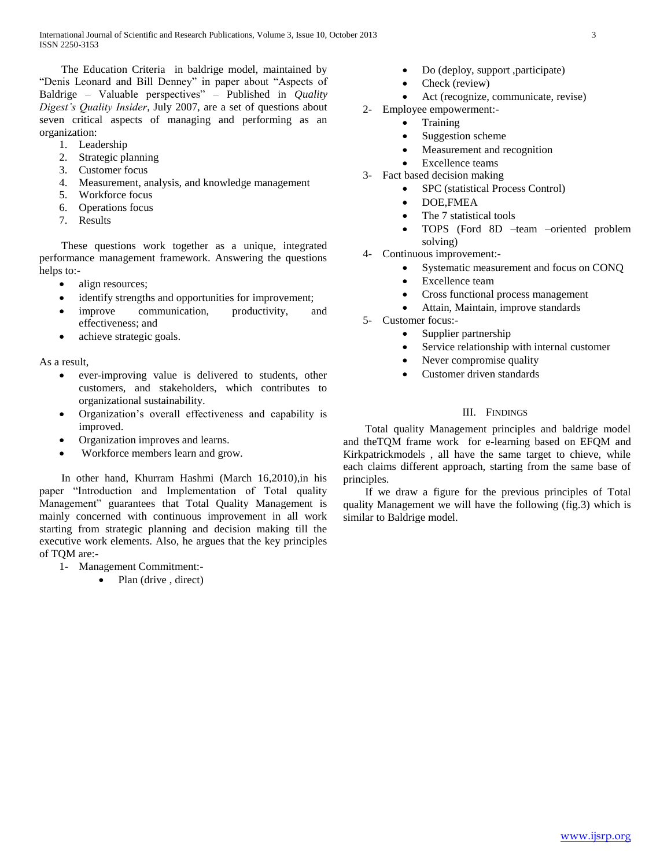The Education Criteria in baldrige model, maintained by "Denis Leonard and Bill Denney" in paper about "Aspects of Baldrige – Valuable perspectives" – Published in *Quality Digest's Quality Insider*, July 2007, are a set of questions about seven critical aspects of managing and performing as an organization:

- 1. Leadership
- 2. Strategic planning
- 3. Customer focus
- 4. Measurement, analysis, and knowledge management
- 5. Workforce focus
- 6. Operations focus
- 7. Results

 These questions work together as a unique, integrated performance management framework. Answering the questions helps to:-

- align resources;
- identify strengths and opportunities for improvement;
- improve communication, productivity, and effectiveness; and
- achieve strategic goals.

As a result,

- ever-improving value is delivered to students, other customers, and stakeholders, which contributes to organizational sustainability.
- Organization's overall effectiveness and capability is improved.
- Organization improves and learns.
- Workforce members learn and grow.

 In other hand, Khurram Hashmi (March 16,2010),in his paper "Introduction and Implementation of Total quality Management" guarantees that Total Quality Management is mainly concerned with continuous improvement in all work starting from strategic planning and decision making till the executive work elements. Also, he argues that the key principles of TQM are:-

- 1- Management Commitment:-
	- Plan (drive , direct)
- Do (deploy, support ,participate)
- Check (review)
- Act (recognize, communicate, revise)
- 2- Employee empowerment:-
	- **Training**
	- Suggestion scheme
	- Measurement and recognition
	- Excellence teams
- 3- Fact based decision making
	- SPC (statistical Process Control)
	- DOE,FMEA
	- The 7 statistical tools
	- TOPS (Ford 8D –team –oriented problem solving)
- 4- Continuous improvement:-
	- Systematic measurement and focus on CONQ
		- Excellence team
		- Cross functional process management
	- Attain, Maintain, improve standards
- 5- Customer focus:-
	- Supplier partnership
	- Service relationship with internal customer
	- Never compromise quality
	- Customer driven standards

## III. FINDINGS

 Total quality Management principles and baldrige model and theTQM frame work for e-learning based on EFQM and Kirkpatrickmodels , all have the same target to chieve, while each claims different approach, starting from the same base of principles.

 If we draw a figure for the previous principles of Total quality Management we will have the following (fig.3) which is similar to Baldrige model.